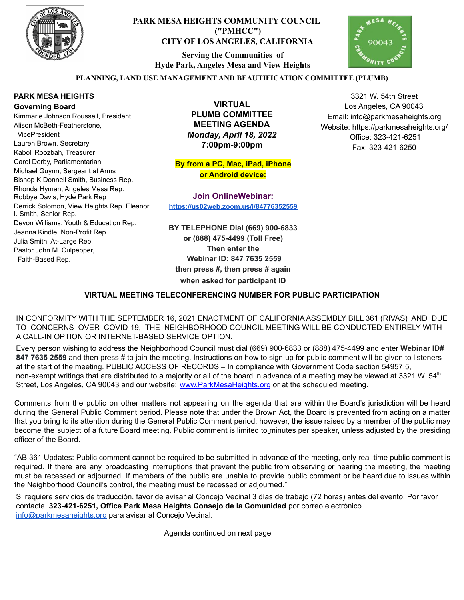

# **PARK MESA HEIGHTS COMMUNITY COUNCIL ("PMHCC") CITY OF LOS ANGELES, CALIFORNIA**

**Serving the Communities of Hyde Park, Angeles Mesa and View Heights**



3321 W. 54th Street Los Angeles, CA 90043 Email: info@parkmesaheights.org Website: https://parkmesaheights.org/ Office: 323-421-6251 Fax: 323-421-6250

### **PLANNING, LAND USE MANAGEMENT AND BEAUTIFICATION COMMITTEE (PLUMB)**

### **PARK MESA HEIGHTS Governing Board**

Kimmarie Johnson Roussell, President Alison McBeth-Featherstone, VicePresident Lauren Brown, Secretary Kaboli Roozbah, Treasurer Carol Derby, Parliamentarian Michael Guynn, Sergeant at Arms Bishop K Donnell Smith, Business Rep. Rhonda Hyman, Angeles Mesa Rep. Robbye Davis, Hyde Park Rep Derrick Solomon, View Heights Rep. Eleanor I. Smith, Senior Rep. Devon Williams, Youth & Education Rep. Jeanna Kindle, Non-Profit Rep. Julia Smith, At-Large Rep. Pastor John M. Culpepper, Faith-Based Rep.

**VIRTUAL PLUMB COMMITTEE MEETING AGENDA** *Monday, April 18, 2022* **7:00pm-9:00pm**

**By from a PC, Mac, iPad, iPhone or Android device:**

**Join OnlineWebinar: <https://us02web.zoom.us/j/84776352559>**

**BY TELEPHONE Dial (669) 900-6833 or (888) 475-4499 (Toll Free) Then enter the Webinar ID: 847 7635 2559 then press #, then press # again when asked for participant ID**

### **VIRTUAL MEETING TELECONFERENCING NUMBER FOR PUBLIC PARTICIPATION**

IN CONFORMITY WITH THE SEPTEMBER 16, 2021 ENACTMENT OF CALIFORNIA ASSEMBLY BILL 361 (RIVAS) AND DUE TO CONCERNS OVER COVID-19, THE NEIGHBORHOOD COUNCIL MEETING WILL BE CONDUCTED ENTIRELY WITH A CALL-IN OPTION OR INTERNET-BASED SERVICE OPTION.

Every person wishing to address the Neighborhood Council must dial (669) 900-6833 or (888) 475-4499 and enter **Webinar ID# 847 7635 2559** and then press # to join the meeting. Instructions on how to sign up for public comment will be given to listeners at the start of the meeting. PUBLIC ACCESS OF RECORDS – In compliance with Government Code section 54957.5, non-exempt writings that are distributed to a majority or all of the board in advance of a meeting may be viewed at 3321 W. 54<sup>th</sup> Street, Los Angeles, CA 90043 and our website: [www.ParkMesaHeights.org](http://www.parkmesaheights.org/) or at the scheduled meeting.

Comments from the public on other matters not appearing on the agenda that are within the Board's jurisdiction will be heard during the General Public Comment period. Please note that under the Brown Act, the Board is prevented from acting on a matter that you bring to its attention during the General Public Comment period; however, the issue raised by a member of the public may become the subject of a future Board meeting. Public comment is limited to minutes per speaker, unless adjusted by the presiding officer of the Board.

"AB 361 Updates: Public comment cannot be required to be submitted in advance of the meeting, only real-time public comment is required. If there are any broadcasting interruptions that prevent the public from observing or hearing the meeting, the meeting must be recessed or adjourned. If members of the public are unable to provide public comment or be heard due to issues within the Neighborhood Council's control, the meeting must be recessed or adjourned."

Si requiere servicios de traducción, favor de avisar al Concejo Vecinal 3 días de trabajo (72 horas) antes del evento. Por favor contacte **323-421-6251, Office Park Mesa Heights Consejo de la Comunidad** por corre[o](mailto:XXX@NeighborhoodCouncil.org) electrónico [info@parkmesaheights.org](mailto:info@parkmesaheights.org) para avisar al Concejo Vecinal.

Agenda continued on next page